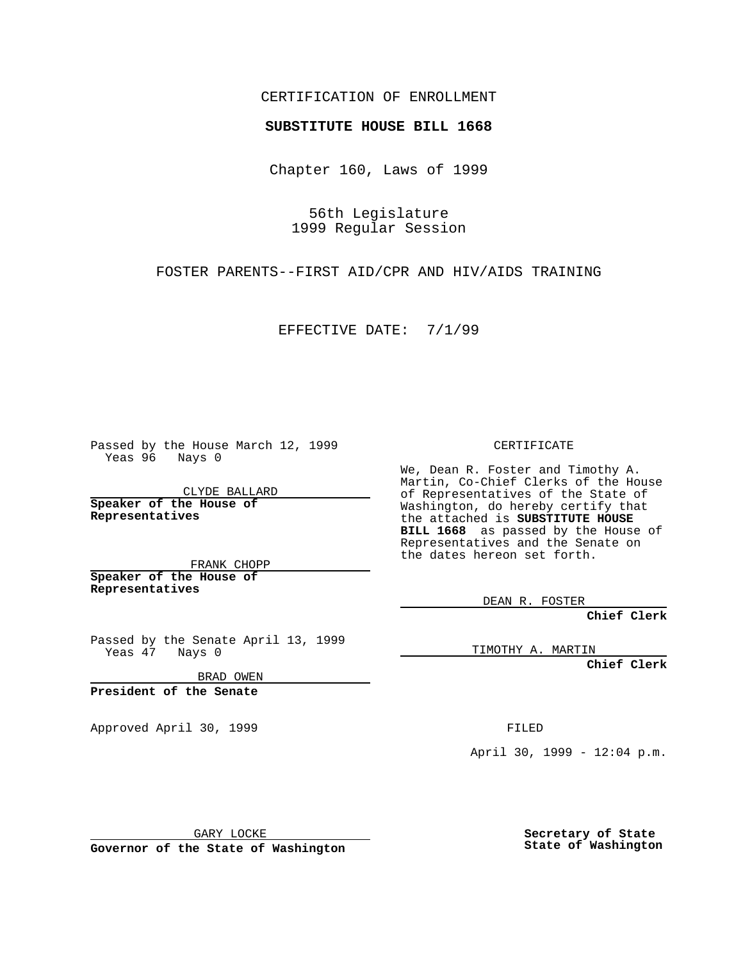CERTIFICATION OF ENROLLMENT

## **SUBSTITUTE HOUSE BILL 1668**

Chapter 160, Laws of 1999

56th Legislature 1999 Regular Session

FOSTER PARENTS--FIRST AID/CPR AND HIV/AIDS TRAINING

EFFECTIVE DATE: 7/1/99

Passed by the House March 12, 1999 Yeas 96 Nays 0

CLYDE BALLARD **Speaker of the House of Representatives**

FRANK CHOPP **Speaker of the House of Representatives**

Passed by the Senate April 13, 1999 Yeas 47 Nays 0

BRAD OWEN

**President of the Senate**

Approved April 30, 1999 **FILED** 

CERTIFICATE

We, Dean R. Foster and Timothy A. Martin, Co-Chief Clerks of the House of Representatives of the State of Washington, do hereby certify that the attached is **SUBSTITUTE HOUSE BILL 1668** as passed by the House of Representatives and the Senate on the dates hereon set forth.

DEAN R. FOSTER

**Chief Clerk**

TIMOTHY A. MARTIN

**Chief Clerk**

April 30, 1999 - 12:04 p.m.

GARY LOCKE

**Governor of the State of Washington**

**Secretary of State State of Washington**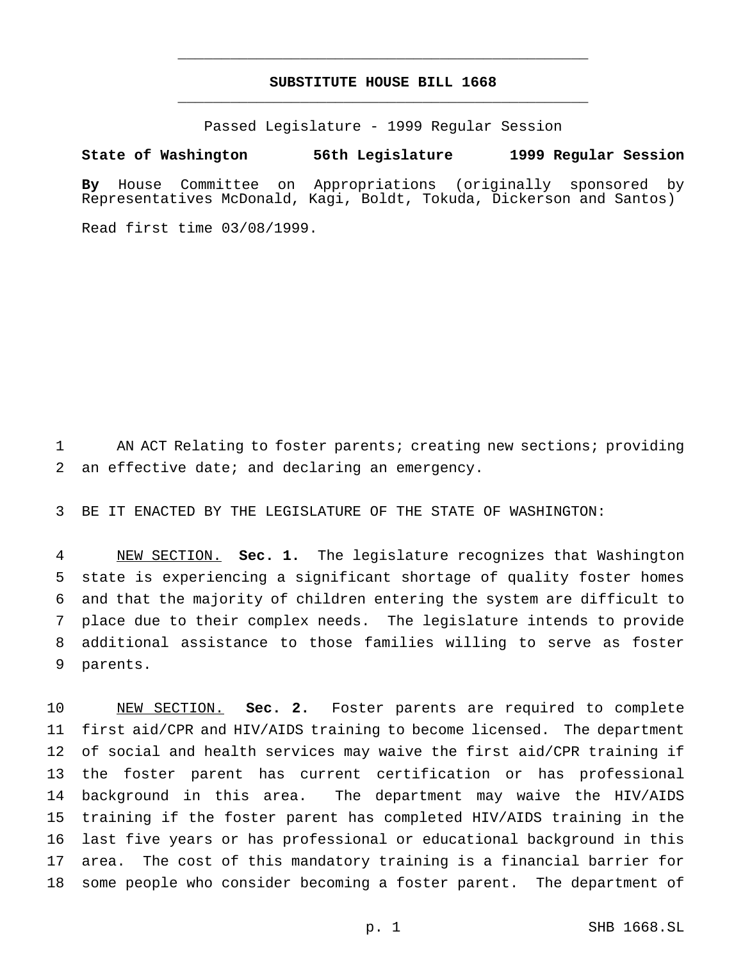## **SUBSTITUTE HOUSE BILL 1668** \_\_\_\_\_\_\_\_\_\_\_\_\_\_\_\_\_\_\_\_\_\_\_\_\_\_\_\_\_\_\_\_\_\_\_\_\_\_\_\_\_\_\_\_\_\_\_

\_\_\_\_\_\_\_\_\_\_\_\_\_\_\_\_\_\_\_\_\_\_\_\_\_\_\_\_\_\_\_\_\_\_\_\_\_\_\_\_\_\_\_\_\_\_\_

Passed Legislature - 1999 Regular Session

## **State of Washington 56th Legislature 1999 Regular Session**

**By** House Committee on Appropriations (originally sponsored by Representatives McDonald, Kagi, Boldt, Tokuda, Dickerson and Santos)

Read first time 03/08/1999.

 AN ACT Relating to foster parents; creating new sections; providing an effective date; and declaring an emergency.

BE IT ENACTED BY THE LEGISLATURE OF THE STATE OF WASHINGTON:

 NEW SECTION. **Sec. 1.** The legislature recognizes that Washington state is experiencing a significant shortage of quality foster homes and that the majority of children entering the system are difficult to place due to their complex needs. The legislature intends to provide additional assistance to those families willing to serve as foster parents.

 NEW SECTION. **Sec. 2.** Foster parents are required to complete first aid/CPR and HIV/AIDS training to become licensed. The department of social and health services may waive the first aid/CPR training if the foster parent has current certification or has professional background in this area. The department may waive the HIV/AIDS training if the foster parent has completed HIV/AIDS training in the last five years or has professional or educational background in this area. The cost of this mandatory training is a financial barrier for some people who consider becoming a foster parent. The department of